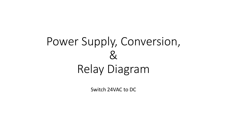# Power Supply, Conversion,  $\mathcal{R}% _{G}$ Relay Diagram

Switch 24VAC to DC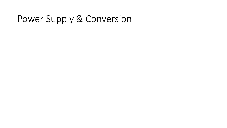### Power Supply & Conversion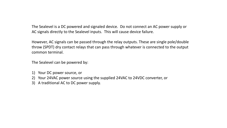The Sealevel is a DC powered and signaled device. Do not connect an AC power supply or AC signals directly to the Sealevel inputs. This will cause device failure.

However, AC signals can be passed through the relay outputs. These are single pole/double throw (SPDT) dry contact relays that can pass through whatever is connected to the output common terminal.

The Sealevel can be powered by:

- 1) Your DC power source, or
- 2) Your 24VAC power source using the supplied 24VAC to 24VDC converter, or
- 3) A traditional AC to DC power supply.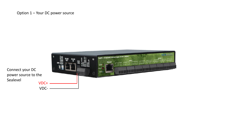#### Option 1 – Your DC power source



Connect your DC power source to the Sealevel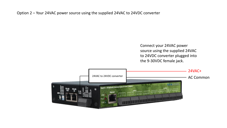Option 2 – Your 24VAC power source using the supplied 24VAC to 24VDC converter

Connect your 24VAC power source using the supplied 24VAC to 24VDC converter plugged into the 9-30VDC female jack.

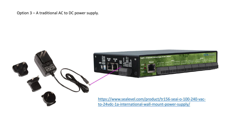Option 3 – A traditional AC to DC power supply.

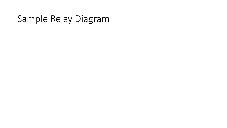### Sample Relay Diagram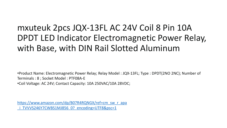### mxuteuk 2pcs JQX-13FL AC 24V Coil 8 Pin 10A DPDT LED Indicator Electromagnetic Power Relay, with Base, with DIN Rail Slotted Aluminum

•Product Name: Electromagnetic Power Relay; Relay Model : JQX-13FL; Type : DPDT(2NO 2NC); Number of Terminals : 8 ; Socket Model : PTF08A-E •Coil Voltage: AC 24V; Contact Capacity: 10A 250VAC/10A 28VDC;

[https://www.amazon.com/dp/B07R4RQNGX/ref=cm\\_sw\\_r\\_apa](https://www.amazon.com/dp/B07R4RQNGX/ref=cm_sw_r_apa_i_TVVVS246Y7CWBS1MJ856_0?_encoding=UTF8&psc=1) TVVVS246Y7CWBS1MJ856\_0?\_encoding=UTF8&psc=1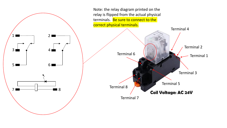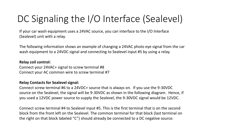## DC Signaling the I/O Interface (Sealevel)

If your car wash equipment uses a 24VAC source, you can interface to the I/O Interface (Sealevel) unit with a relay.

The following information shows an example of changing a 24VAC photo eye signal from the car wash equipment to a 24VDC signal and connecting to Sealevel input #5 by using a relay.

#### **Relay coil control:**

Connect your 24VAC+ signal to screw terminal #8 Connect your AC common wire to screw terminal #7

#### **Relay Contacts for Sealevel signal:**

Connect screw terminal #6 to a 24VDC+ source that is always on. If you use the 9-30VDC source on the Sealevel, the signal will be 9-30VDC as shown in the following diagram. Hence, if you used a 12VDC power source to supply the Sealevel, the 9-30VDC signal would be 12VDC.

Connect screw terminal #4 to Sealevel input #5. This is the first terminal that is on the second block from the front left on the Sealevel. The common terminal for that block (last terminal on the right on that block labeled "C") should already be connected to a DC negative source.